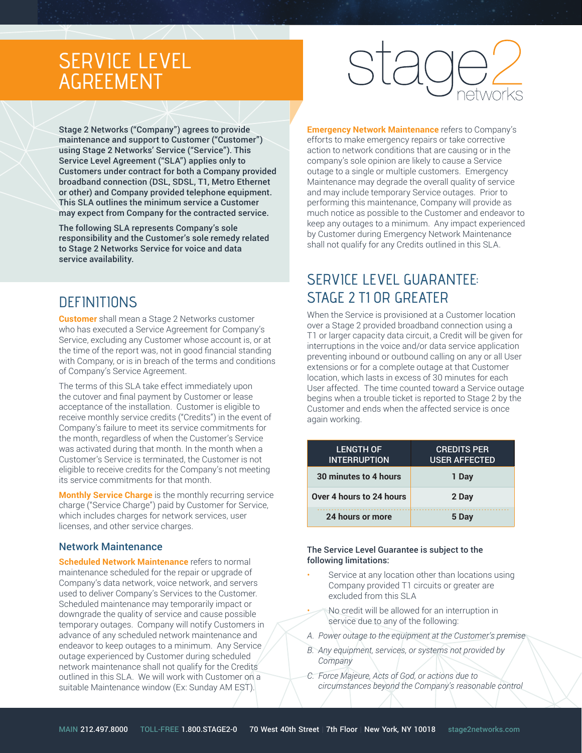# SERVICE LEVEL AGREEMENT

Stage 2 Networks ("Company") agrees to provide maintenance and support to Customer ("Customer") using Stage 2 Networks' Service ("Service"). This Service Level Agreement ("SLA") applies only to Customers under contract for both a Company provided broadband connection (DSL, SDSL, T1, Metro Ethernet or other) and Company provided telephone equipment. This SLA outlines the minimum service a Customer may expect from Company for the contracted service.

The following SLA represents Company's sole responsibility and the Customer's sole remedy related to Stage 2 Networks Service for voice and data service availability.

### **DEFINITIONS**

**Customer** shall mean a Stage 2 Networks customer who has executed a Service Agreement for Company's Service, excluding any Customer whose account is, or at the time of the report was, not in good financial standing with Company, or is in breach of the terms and conditions of Company's Service Agreement.

The terms of this SLA take effect immediately upon the cutover and final payment by Customer or lease acceptance of the installation. Customer is eligible to receive monthly service credits ("Credits") in the event of Company's failure to meet its service commitments for the month, regardless of when the Customer's Service was activated during that month. In the month when a Customer's Service is terminated, the Customer is not eligible to receive credits for the Company's not meeting its service commitments for that month.

**Monthly Service Charge** is the monthly recurring service charge ("Service Charge") paid by Customer for Service, which includes charges for network services, user licenses, and other service charges.

### Network Maintenance

**Scheduled Network Maintenance refers to normal** maintenance scheduled for the repair or upgrade of Company's data network, voice network, and servers used to deliver Company's Services to the Customer. Scheduled maintenance may temporarily impact or downgrade the quality of service and cause possible temporary outages. Company will notify Customers in advance of any scheduled network maintenance and endeavor to keep outages to a minimum. Any Service outage experienced by Customer during scheduled network maintenance shall not qualify for the Credits outlined in this SLA. We will work with Customer on a suitable Maintenance window (Ex: Sunday AM EST).

**Emergency Network Maintenance** refers to Company's efforts to make emergency repairs or take corrective action to network conditions that are causing or in the company's sole opinion are likely to cause a Service outage to a single or multiple customers. Emergency Maintenance may degrade the overall quality of service and may include temporary Service outages. Prior to performing this maintenance, Company will provide as much notice as possible to the Customer and endeavor to keep any outages to a minimum. Any impact experienced by Customer during Emergency Network Maintenance shall not qualify for any Credits outlined in this SLA.

## SERVICE LEVEL GUARANTEE: STAGE 2 T1 OR GREATER

When the Service is provisioned at a Customer location over a Stage 2 provided broadband connection using a T1 or larger capacity data circuit, a Credit will be given for interruptions in the voice and/or data service application preventing inbound or outbound calling on any or all User extensions or for a complete outage at that Customer location, which lasts in excess of 30 minutes for each User affected. The time counted toward a Service outage begins when a trouble ticket is reported to Stage 2 by the Customer and ends when the affected service is once again working.

| <b>LENGTH OF</b><br><b>INTERRUPTION</b> | <b>CREDITS PER</b><br><b>USER AFFECTED</b> |
|-----------------------------------------|--------------------------------------------|
| 30 minutes to 4 hours                   | 1 Day                                      |
| Over 4 hours to 24 hours                | 2 Day                                      |
| 24 hours or more                        | 5 Dav                                      |

#### The Service Level Guarantee is subject to the following limitations:

- Service at any location other than locations using Company provided T1 circuits or greater are excluded from this SLA
	- No credit will be allowed for an interruption in service due to any of the following:
- *A. Power outage to the equipment at the Customer's premise*
- *B. Any equipment, services, or systems not provided by Company*
- *C. Force Majeure, Acts of God, or actions due to circumstances beyond the Company's reasonable control*